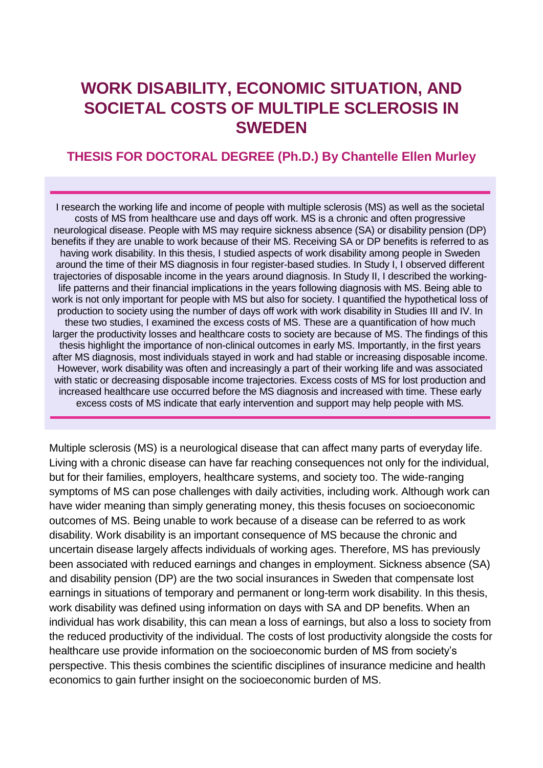## **WORK DISABILITY, ECONOMIC SITUATION, AND SOCIETAL COSTS OF MULTIPLE SCLEROSIS IN SWEDEN**

## **THESIS FOR DOCTORAL DEGREE (Ph.D.) By Chantelle Ellen Murley**

I research the working life and income of people with multiple sclerosis (MS) as well as the societal costs of MS from healthcare use and days off work. MS is a chronic and often progressive neurological disease. People with MS may require sickness absence (SA) or disability pension (DP) benefits if they are unable to work because of their MS. Receiving SA or DP benefits is referred to as having work disability. In this thesis, I studied aspects of work disability among people in Sweden around the time of their MS diagnosis in four register-based studies. In Study I, I observed different trajectories of disposable income in the years around diagnosis. In Study II, I described the workinglife patterns and their financial implications in the years following diagnosis with MS. Being able to work is not only important for people with MS but also for society. I quantified the hypothetical loss of production to society using the number of days off work with work disability in Studies III and IV. In these two studies, I examined the excess costs of MS. These are a quantification of how much larger the productivity losses and healthcare costs to society are because of MS. The findings of this thesis highlight the importance of non-clinical outcomes in early MS. Importantly, in the first years after MS diagnosis, most individuals stayed in work and had stable or increasing disposable income. However, work disability was often and increasingly a part of their working life and was associated with static or decreasing disposable income trajectories. Excess costs of MS for lost production and increased healthcare use occurred before the MS diagnosis and increased with time. These early excess costs of MS indicate that early intervention and support may help people with MS*.*

Multiple sclerosis (MS) is a neurological disease that can affect many parts of everyday life. Living with a chronic disease can have far reaching consequences not only for the individual, but for their families, employers, healthcare systems, and society too. The wide-ranging symptoms of MS can pose challenges with daily activities, including work. Although work can have wider meaning than simply generating money, this thesis focuses on socioeconomic outcomes of MS. Being unable to work because of a disease can be referred to as work disability. Work disability is an important consequence of MS because the chronic and uncertain disease largely affects individuals of working ages. Therefore, MS has previously been associated with reduced earnings and changes in employment. Sickness absence (SA) and disability pension (DP) are the two social insurances in Sweden that compensate lost earnings in situations of temporary and permanent or long-term work disability. In this thesis, work disability was defined using information on days with SA and DP benefits. When an individual has work disability, this can mean a loss of earnings, but also a loss to society from the reduced productivity of the individual. The costs of lost productivity alongside the costs for healthcare use provide information on the socioeconomic burden of MS from society's perspective. This thesis combines the scientific disciplines of insurance medicine and health economics to gain further insight on the socioeconomic burden of MS.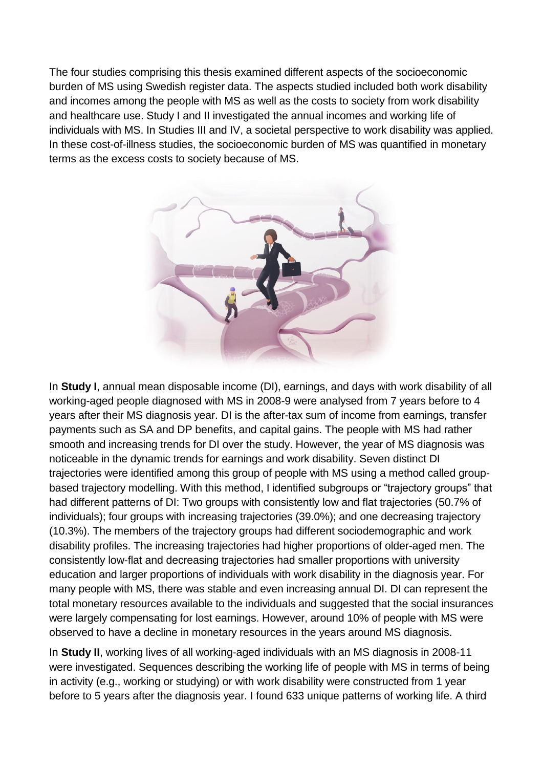The four studies comprising this thesis examined different aspects of the socioeconomic burden of MS using Swedish register data. The aspects studied included both work disability and incomes among the people with MS as well as the costs to society from work disability and healthcare use. Study I and II investigated the annual incomes and working life of individuals with MS. In Studies III and IV, a societal perspective to work disability was applied. In these cost-of-illness studies, the socioeconomic burden of MS was quantified in monetary terms as the excess costs to society because of MS.



In **Study I**, annual mean disposable income (DI), earnings, and days with work disability of all working-aged people diagnosed with MS in 2008-9 were analysed from 7 years before to 4 years after their MS diagnosis year. DI is the after-tax sum of income from earnings, transfer payments such as SA and DP benefits, and capital gains. The people with MS had rather smooth and increasing trends for DI over the study. However, the year of MS diagnosis was noticeable in the dynamic trends for earnings and work disability. Seven distinct DI trajectories were identified among this group of people with MS using a method called groupbased trajectory modelling. With this method, I identified subgroups or "trajectory groups" that had different patterns of DI: Two groups with consistently low and flat trajectories (50.7% of individuals); four groups with increasing trajectories (39.0%); and one decreasing trajectory (10.3%). The members of the trajectory groups had different sociodemographic and work disability profiles. The increasing trajectories had higher proportions of older-aged men. The consistently low-flat and decreasing trajectories had smaller proportions with university education and larger proportions of individuals with work disability in the diagnosis year. For many people with MS, there was stable and even increasing annual DI. DI can represent the total monetary resources available to the individuals and suggested that the social insurances were largely compensating for lost earnings. However, around 10% of people with MS were observed to have a decline in monetary resources in the years around MS diagnosis.

In **Study II**, working lives of all working-aged individuals with an MS diagnosis in 2008-11 were investigated. Sequences describing the working life of people with MS in terms of being in activity (e.g., working or studying) or with work disability were constructed from 1 year before to 5 years after the diagnosis year. I found 633 unique patterns of working life. A third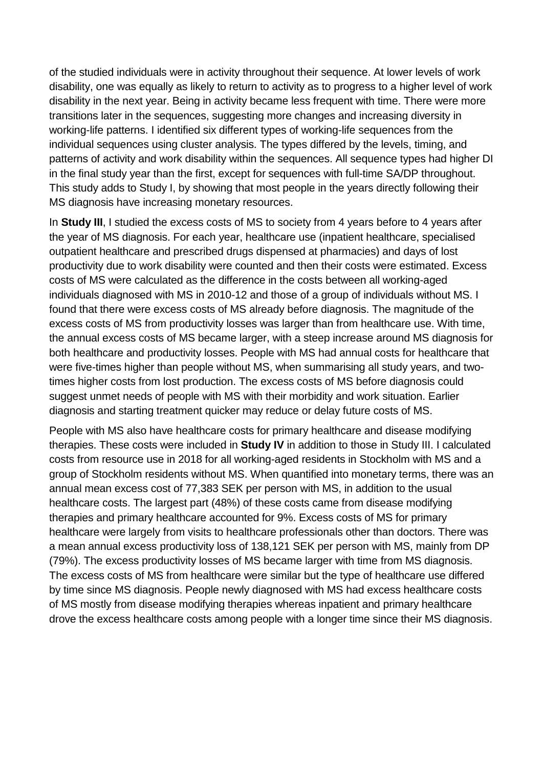of the studied individuals were in activity throughout their sequence. At lower levels of work disability, one was equally as likely to return to activity as to progress to a higher level of work disability in the next year. Being in activity became less frequent with time. There were more transitions later in the sequences, suggesting more changes and increasing diversity in working-life patterns. I identified six different types of working-life sequences from the individual sequences using cluster analysis. The types differed by the levels, timing, and patterns of activity and work disability within the sequences. All sequence types had higher DI in the final study year than the first, except for sequences with full-time SA/DP throughout. This study adds to Study I, by showing that most people in the years directly following their MS diagnosis have increasing monetary resources.

In **Study III**, I studied the excess costs of MS to society from 4 years before to 4 years after the year of MS diagnosis. For each year, healthcare use (inpatient healthcare, specialised outpatient healthcare and prescribed drugs dispensed at pharmacies) and days of lost productivity due to work disability were counted and then their costs were estimated. Excess costs of MS were calculated as the difference in the costs between all working-aged individuals diagnosed with MS in 2010-12 and those of a group of individuals without MS. I found that there were excess costs of MS already before diagnosis. The magnitude of the excess costs of MS from productivity losses was larger than from healthcare use. With time, the annual excess costs of MS became larger, with a steep increase around MS diagnosis for both healthcare and productivity losses. People with MS had annual costs for healthcare that were five-times higher than people without MS, when summarising all study years, and twotimes higher costs from lost production. The excess costs of MS before diagnosis could suggest unmet needs of people with MS with their morbidity and work situation. Earlier diagnosis and starting treatment quicker may reduce or delay future costs of MS.

People with MS also have healthcare costs for primary healthcare and disease modifying therapies. These costs were included in **Study IV** in addition to those in Study III. I calculated costs from resource use in 2018 for all working-aged residents in Stockholm with MS and a group of Stockholm residents without MS. When quantified into monetary terms, there was an annual mean excess cost of 77,383 SEK per person with MS, in addition to the usual healthcare costs. The largest part (48%) of these costs came from disease modifying therapies and primary healthcare accounted for 9%. Excess costs of MS for primary healthcare were largely from visits to healthcare professionals other than doctors. There was a mean annual excess productivity loss of 138,121 SEK per person with MS, mainly from DP (79%). The excess productivity losses of MS became larger with time from MS diagnosis. The excess costs of MS from healthcare were similar but the type of healthcare use differed by time since MS diagnosis. People newly diagnosed with MS had excess healthcare costs of MS mostly from disease modifying therapies whereas inpatient and primary healthcare drove the excess healthcare costs among people with a longer time since their MS diagnosis.